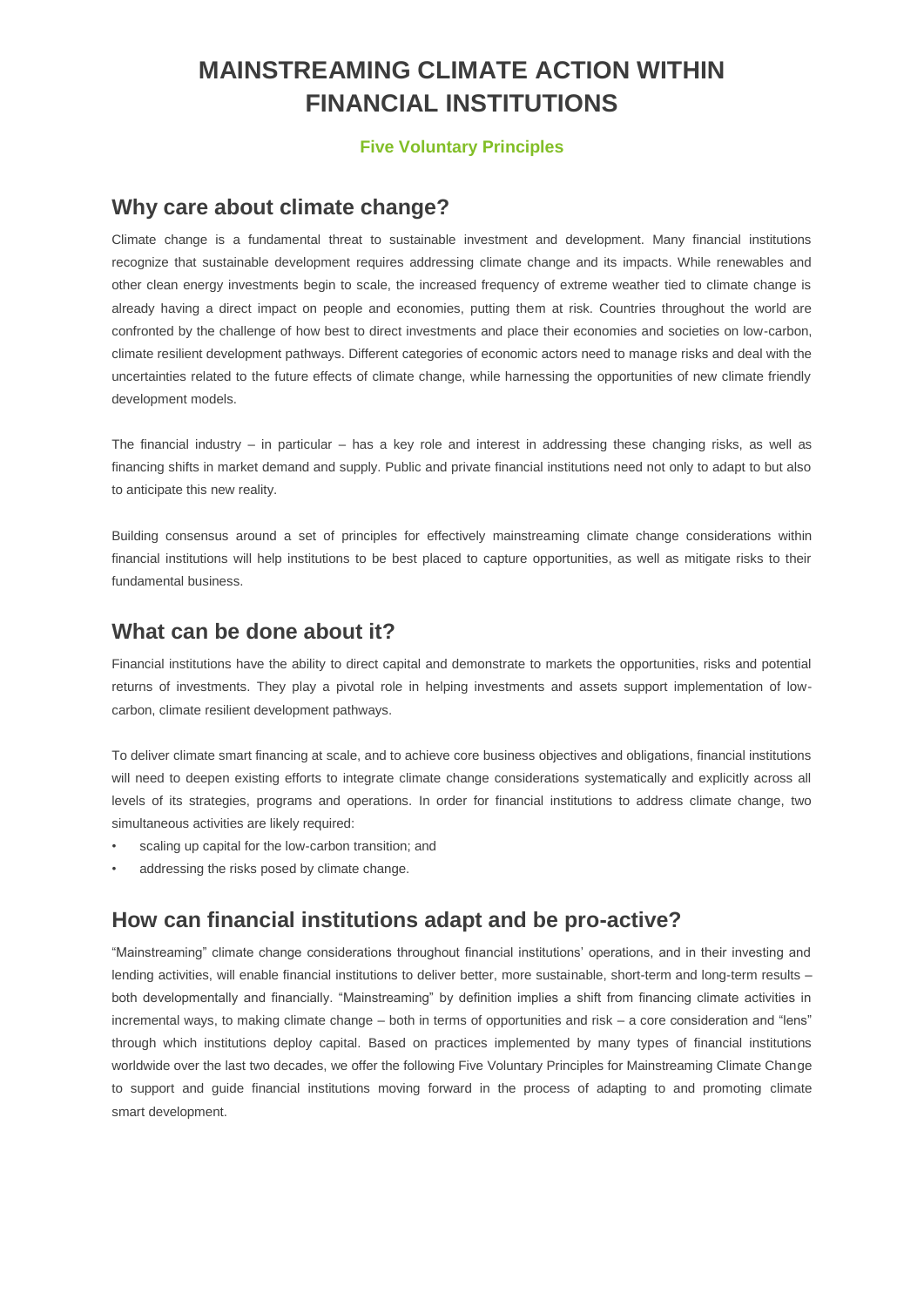## **MAINSTREAMING CLIMATE ACTION WITHIN FINANCIAL INSTITUTIONS**

#### **Five Voluntary Principles**

## **Why care about climate change?**

Climate change is a fundamental threat to sustainable investment and development. Many financial institutions recognize that sustainable development requires addressing climate change and its impacts. While renewables and other clean energy investments begin to scale, the increased frequency of extreme weather tied to climate change is already having a direct impact on people and economies, putting them at risk. Countries throughout the world are confronted by the challenge of how best to direct investments and place their economies and societies on low-carbon, climate resilient development pathways. Different categories of economic actors need to manage risks and deal with the uncertainties related to the future effects of climate change, while harnessing the opportunities of new climate friendly development models.

The financial industry – in particular – has a key role and interest in addressing these changing risks, as well as financing shifts in market demand and supply. Public and private financial institutions need not only to adapt to but also to anticipate this new reality.

Building consensus around a set of principles for effectively mainstreaming climate change considerations within financial institutions will help institutions to be best placed to capture opportunities, as well as mitigate risks to their fundamental business.

### **What can be done about it?**

Financial institutions have the ability to direct capital and demonstrate to markets the opportunities, risks and potential returns of investments. They play a pivotal role in helping investments and assets support implementation of lowcarbon, climate resilient development pathways.

To deliver climate smart financing at scale, and to achieve core business objectives and obligations, financial institutions will need to deepen existing efforts to integrate climate change considerations systematically and explicitly across all levels of its strategies, programs and operations. In order for financial institutions to address climate change, two simultaneous activities are likely required:

- scaling up capital for the low-carbon transition; and
- addressing the risks posed by climate change.

### **How can financial institutions adapt and be pro-active?**

"Mainstreaming" climate change considerations throughout financial institutions' operations, and in their investing and lending activities, will enable financial institutions to deliver better, more sustainable, short-term and long-term results – both developmentally and financially. "Mainstreaming" by definition implies a shift from financing climate activities in incremental ways, to making climate change – both in terms of opportunities and risk – a core consideration and "lens" through which institutions deploy capital. Based on practices implemented by many types of financial institutions worldwide over the last two decades, we offer the following Five Voluntary Principles for Mainstreaming Climate Change to support and guide financial institutions moving forward in the process of adapting to and promoting climate smart development.